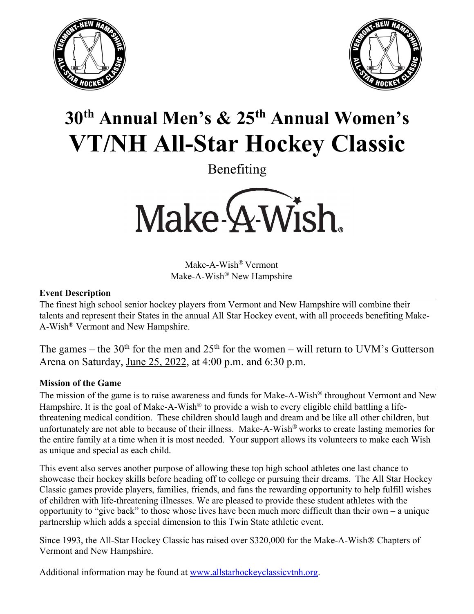



# **30th Annual Men's & 25th Annual Women's VT/NH All-Star Hockey Classic**

Benefiting

Make-A-Wish.

Make-A-Wish<sup>®</sup> Vermont Make-A-Wish® New Hampshire

### **Event Description**

The finest high school senior hockey players from Vermont and New Hampshire will combine their talents and represent their States in the annual All Star Hockey event, with all proceeds benefiting Make-A-Wish<sup>®</sup> Vermont and New Hampshire.

The games – the 30<sup>th</sup> for the men and 25<sup>th</sup> for the women – will return to UVM's Gutterson Arena on Saturday, June 25, 2022, at 4:00 p.m. and 6:30 p.m.

### **Mission of the Game**

The mission of the game is to raise awareness and funds for Make-A-Wish<sup>®</sup> throughout Vermont and New Hampshire. It is the goal of Make-A-Wish<sup>®</sup> to provide a wish to every eligible child battling a lifethreatening medical condition. These children should laugh and dream and be like all other children, but unfortunately are not able to because of their illness. Make-A-Wish<sup>®</sup> works to create lasting memories for the entire family at a time when it is most needed. Your support allows its volunteers to make each Wish as unique and special as each child.

This event also serves another purpose of allowing these top high school athletes one last chance to showcase their hockey skills before heading off to college or pursuing their dreams. The All Star Hockey Classic games provide players, families, friends, and fans the rewarding opportunity to help fulfill wishes of children with life-threatening illnesses. We are pleased to provide these student athletes with the opportunity to "give back" to those whose lives have been much more difficult than their own – a unique partnership which adds a special dimension to this Twin State athletic event.

Since 1993, the All-Star Hockey Classic has raised over \$320,000 for the Make-A-Wish® Chapters of Vermont and New Hampshire.

Additional information may be found at www.allstarhockeyclassicvtnh.org.